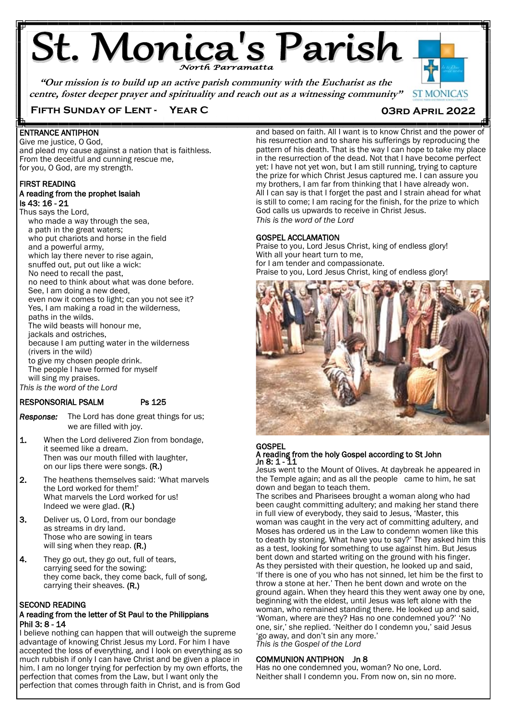# St. Monica's Parish

**"Our mission is to build up an active parish community with the Eucharist as the centre, foster deeper prayer and spirituality and reach out as a witnessing community"**



#### **Fifth Sunday of Lent - Year C 03rd April 2022**

#### ENTRANCE ANTIPHON

Give me justice, O God, and plead my cause against a nation that is faithless. From the deceitful and cunning rescue me, for you, O God, are my strength.

#### FIRST READING A reading from the prophet Isaiah Is 43: 16 - 21

Thus says the Lord, who made a way through the sea. a path in the great waters; who put chariots and horse in the field and a powerful army, which lay there never to rise again, snuffed out, put out like a wick: No need to recall the past, no need to think about what was done before. See, I am doing a new deed, even now it comes to light; can you not see it? Yes, I am making a road in the wilderness, paths in the wilds. The wild beasts will honour me, jackals and ostriches, because I am putting water in the wilderness (rivers in the wild) to give my chosen people drink. The people I have formed for myself will sing my praises. This is the word of the Lord

## RESPONSORIAL PSALM Ps 125

*Response:* The Lord has done great things for us; we are filled with joy.

- 1. When the Lord delivered Zion from bondage, it seemed like a dream. Then was our mouth filled with laughter, on our lips there were songs. (R.)
- 2. The heathens themselves said: 'What marvels the Lord worked for them!' What marvels the Lord worked for us! Indeed we were glad. (R.)
- 3. Deliver us, O Lord, from our bondage as streams in dry land. Those who are sowing in tears will sing when they reap. (R.)
- 4. They go out, they go out, full of tears, carrying seed for the sowing: they come back, they come back, full of song, carrying their sheaves. (R.)

#### SECOND READING

#### A reading from the letter of St Paul to the Philippians Phil 3: 8 - 14

I believe nothing can happen that will outweigh the supreme advantage of knowing Christ Jesus my Lord. For him I have accepted the loss of everything, and I look on everything as so much rubbish if only I can have Christ and be given a place in him. I am no longer trying for perfection by my own efforts, the perfection that comes from the Law, but I want only the perfection that comes through faith in Christ, and is from God

and based on faith. All I want is to know Christ and the power of his resurrection and to share his sufferings by reproducing the pattern of his death. That is the way I can hope to take my place in the resurrection of the dead. Not that I have become perfect yet: I have not yet won, but I am still running, trying to capture the prize for which Christ Jesus captured me. I can assure you my brothers, I am far from thinking that I have already won. All I can say is that I forget the past and I strain ahead for what is still to come; I am racing for the finish, for the prize to which God calls us upwards to receive in Christ Jesus. *This is the word of the Lord*

#### GOSPEL ACCLAMATION

Praise to you, Lord Jesus Christ, king of endless glory! With all your heart turn to me, for I am tender and compassionate. Praise to you, Lord Jesus Christ, king of endless glory!



#### **GOSPEL** A reading from the holy Gospel according to St John Jn 8: 1 - 11

Jesus went to the Mount of Olives. At daybreak he appeared in the Temple again; and as all the people came to him, he sat down and began to teach them.

The scribes and Pharisees brought a woman along who had been caught committing adultery; and making her stand there in full view of everybody, they said to Jesus, 'Master, this woman was caught in the very act of committing adultery, and Moses has ordered us in the Law to condemn women like this to death by stoning. What have you to say?' They asked him this as a test, looking for something to use against him. But Jesus bent down and started writing on the ground with his finger. As they persisted with their question, he looked up and said, 'If there is one of you who has not sinned, let him be the first to throw a stone at her.' Then he bent down and wrote on the ground again. When they heard this they went away one by one, beginning with the eldest, until Jesus was left alone with the woman, who remained standing there. He looked up and said, 'Woman, where are they? Has no one condemned you?' 'No one, sir,' she replied. 'Neither do I condemn you,' said Jesus 'go away, and don't sin any more.' *This is the Gospel of the Lord*

#### COMMUNION ANTIPHON Jn 8

Has no one condemned you, woman? No one, Lord. Neither shall I condemn you. From now on, sin no more.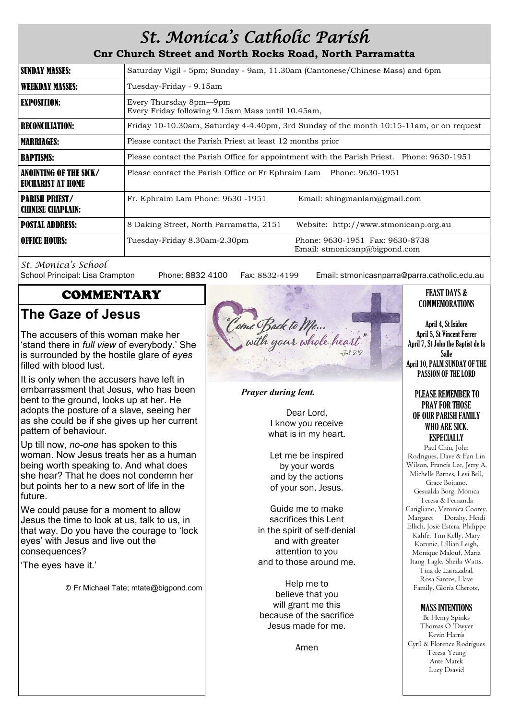# *St. Monica's Catholic Parish*

**Cnr Church Street and North Rocks Road, North Parramatta**

| SUNDAY MASSES:                                    | Saturday Vigil - 5pm; Sunday - 9am, 11.30am (Cantonese/Chinese Mass) and 6pm                     |  |  |  |
|---------------------------------------------------|--------------------------------------------------------------------------------------------------|--|--|--|
| WEEKDAY MASSES:                                   | Tuesday-Friday - 9.15am                                                                          |  |  |  |
| <b>EXPOSITION:</b>                                | Every Thursday 8pm—9pm<br>Every Friday following 9.15am Mass until 10.45am,                      |  |  |  |
| <b>RECONCILIATION:</b>                            | Friday 10-10.30am, Saturday 4-4.40pm, 3rd Sunday of the month 10:15-11am, or on request          |  |  |  |
| <b>MARRIAGES:</b>                                 | Please contact the Parish Priest at least 12 months prior                                        |  |  |  |
| <b>BAPTISMS:</b>                                  | Please contact the Parish Office for appointment with the Parish Priest. Phone: 9630-1951        |  |  |  |
| ANOINTING OF THE SICK/<br>EUCHARIST AT HOME       | Please contact the Parish Office or Fr Ephraim Lam Phone: 9630-1951                              |  |  |  |
| <b>PARISH PRIEST/</b><br><b>CHINESE CHAPLAIN:</b> | Fr. Ephraim Lam Phone: 9630 -1951<br>Email: shingmanlam@gmail.com                                |  |  |  |
| <b>POSTAL ADDRESS:</b>                            | 8 Daking Street, North Parramatta, 2151<br>Website: http://www.stmonicanp.org.au                 |  |  |  |
| <b>OFFICE HOURS:</b>                              | Phone: 9630-1951 Fax: 9630-8738<br>Tuesday-Friday 8.30am-2.30pm<br>Email: stmonicanp@bigpond.com |  |  |  |

*St. Monica's School*

School Principal: Lisa Crampton Phone: 8832 4100 Fax: 8832-4199 Email: stmonicasnparra@parra.catholic.edu.au

# **The Gaze of Jesus**

The accusers of this woman make her 'stand there in *full view* of everybody.' She is surrounded by the hostile glare of *eyes* filled with blood lust.

It is only when the accusers have left in embarrassment that Jesus, who has been bent to the ground, looks up at her. He adopts the posture of a slave, seeing her as she could be if she gives up her current pattern of behaviour.

Up till now, *no-one* has spoken to this woman. Now Jesus treats her as a human being worth speaking to. And what does she hear? That he does not condemn her but points her to a new sort of life in the future.

We could pause for a moment to allow Jesus the time to look at us, talk to us, in that way. Do you have the courage to 'lock eyes' with Jesus and live out the consequences?

'The eyes have it.'

© Fr Michael Tate; mtate@bigpond.com



#### *Prayer during lent.*

Dear Lord, I know you receive what is in my heart.

Let me be inspired by your words and by the actions of your son, Jesus.

Guide me to make sacrifices this Lent in the spirit of self-denial and with greater attention to you and to those around me.

Help me to believe that you will grant me this because of the sacrifice Jesus made for me.

Amen

# COMMEMORATIONS

April 4, St Isidore April 5, St Vincent Ferrer April 7, St John the Baptist de la Salle April 10, PALM SUNDAY OF THE PASSION OF THE LORD

#### PLEASE REMEMBER TO PRAY FOR THOSE OF OUR PARISH FAMILY WHO ARE SICK. **ESPECIALLY**

Paul Chiu, John Rodrigues, Dave & Fan Lin Wilson, Francis Lee, Jerry A, Michelle Barnes, Levi Bell, Grace Boitano, Gesualda Borg, Monica Teresa & Fernanda Carigliano, Veronica Coorey. Margaret Dorahy, Heidi Ellich, Josie Estera, Philippe Kalife, Tim Kelly, Mary Korunic, Lillian Leigh, Monique Malouf, Maria Itang Tagle, Sheila Watts, Tina de Larrazabal, Rosa Santos, Llave Family, Gloria Cherote,

## MASS INTENTIONS

Br Henry Spinks Thomas O 'Dwyer Kevin Harris Cyril & Florence Rodrigues Teresa Yeung Ante Matek Lucy Dsavid